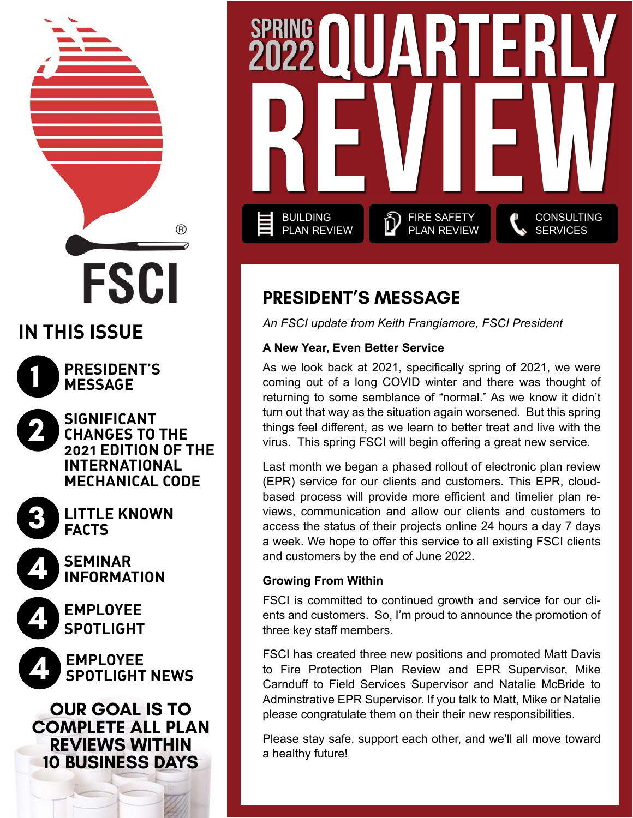# **IN THIS ISSUE**

**1**

**PRESIDENT'S MESSAGE**

**FSCI** 

**SIGNIFICANT CHANGES TO THE 2021 EDITION OF THE INTERNATIONAL MECHANICAL CODE**

®

**3**

**4**

**4**

**2**

**LITTLE KNOWN FACTS**

**[SEMINAR](#page-3-0) [INFORMATION](#page-3-0)**

**EMPLOYEE SPOTLIGHT**

**EMPLOYEE 4 SPOTLIGHT NEWS**

**OUR GOAL IS TO COMPLETE ALL PLAN REVIEWS WITHIN 10 BUSINESS DAYS**



### **PRESIDENT'S MESSAGE**

*An FSCI update from Keith Frangiamore, FSCI President*

### **A New Year, Even Better Service**

As we look back at 2021, specifically spring of 2021, we were coming out of a long COVID winter and there was thought of returning to some semblance of "normal." As we know it didn't turn out that way as the situation again worsened. But this spring things feel different, as we learn to better treat and live with the virus. This spring FSCI will begin offering a great new service.

Last month we began a phased rollout of electronic plan review (EPR) service for our clients and customers. This EPR, cloudbased process will provide more efficient and timelier plan reviews, communication and allow our clients and customers to access the status of their projects online 24 hours a day 7 days a week. We hope to offer this service to all existing FSCI clients and customers by the end of June 2022.

### **Growing From Within**

FSCI is committed to continued growth and service for our clients and customers. So, I'm proud to announce the promotion of three key staff members.

FSCI has created three new positions and promoted Matt Davis to Fire Protection Plan Review and EPR Supervisor, Mike Carnduff to Field Services Supervisor and Natalie McBride to Adminstrative EPR Supervisor. If you talk to Matt, Mike or Natalie please congratulate them on their their new responsibilities.

Please stay safe, support each other, and we'll all move toward a healthy future!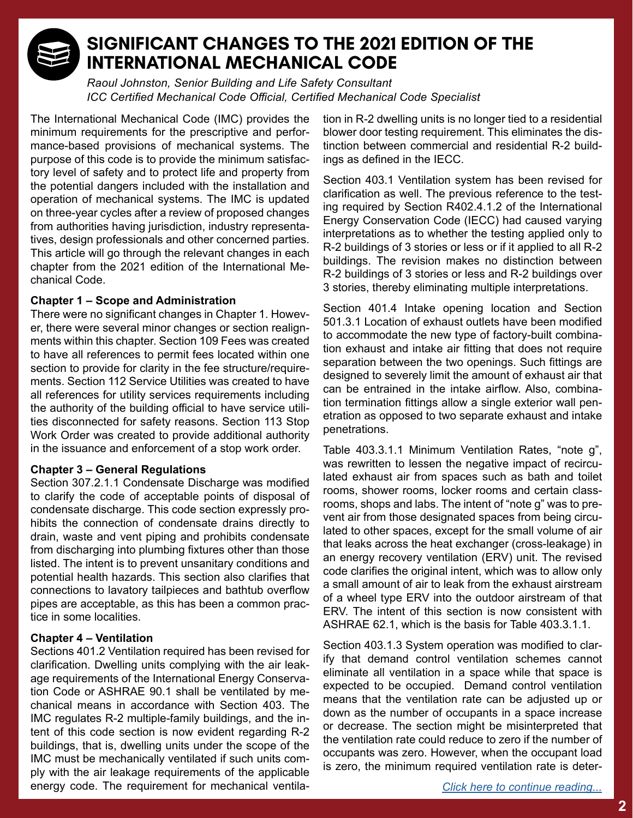

### **SIGNIFICANT CHANGES TO THE 2021 EDITION OF THE INTERNATIONAL MECHANICAL CODE**

*Raoul Johnston, Senior Building and Life Safety Consultant ICC Certified Mechanical Code Official, Certified Mechanical Code Specialist*

The International Mechanical Code (IMC) provides the minimum requirements for the prescriptive and performance-based provisions of mechanical systems. The purpose of this code is to provide the minimum satisfactory level of safety and to protect life and property from the potential dangers included with the installation and operation of mechanical systems. The IMC is updated on three-year cycles after a review of proposed changes from authorities having jurisdiction, industry representatives, design professionals and other concerned parties. This article will go through the relevant changes in each chapter from the 2021 edition of the International Mechanical Code.

#### **Chapter 1 – Scope and Administration**

There were no significant changes in Chapter 1. However, there were several minor changes or section realignments within this chapter. Section 109 Fees was created to have all references to permit fees located within one section to provide for clarity in the fee structure/requirements. Section 112 Service Utilities was created to have all references for utility services requirements including the authority of the building official to have service utilities disconnected for safety reasons. Section 113 Stop Work Order was created to provide additional authority in the issuance and enforcement of a stop work order.

#### **Chapter 3 – General Regulations**

Section 307.2.1.1 Condensate Discharge was modified to clarify the code of acceptable points of disposal of condensate discharge. This code section expressly prohibits the connection of condensate drains directly to drain, waste and vent piping and prohibits condensate from discharging into plumbing fixtures other than those listed. The intent is to prevent unsanitary conditions and potential health hazards. This section also clarifies that connections to lavatory tailpieces and bathtub overflow pipes are acceptable, as this has been a common practice in some localities.

#### **Chapter 4 – Ventilation**

Sections 401.2 Ventilation required has been revised for clarification. Dwelling units complying with the air leakage requirements of the International Energy Conservation Code or ASHRAE 90.1 shall be ventilated by mechanical means in accordance with Section 403. The IMC regulates R-2 multiple-family buildings, and the intent of this code section is now evident regarding R-2 buildings, that is, dwelling units under the scope of the IMC must be mechanically ventilated if such units comply with the air leakage requirements of the applicable energy code. The requirement for mechanical ventilation in R-2 dwelling units is no longer tied to a residential blower door testing requirement. This eliminates the distinction between commercial and residential R-2 buildings as defined in the IECC.

Section 403.1 Ventilation system has been revised for clarification as well. The previous reference to the testing required by Section R402.4.1.2 of the International Energy Conservation Code (IECC) had caused varying interpretations as to whether the testing applied only to R-2 buildings of 3 stories or less or if it applied to all R-2 buildings. The revision makes no distinction between R-2 buildings of 3 stories or less and R-2 buildings over 3 stories, thereby eliminating multiple interpretations.

Section 401.4 Intake opening location and Section 501.3.1 Location of exhaust outlets have been modified to accommodate the new type of factory-built combination exhaust and intake air fitting that does not require separation between the two openings. Such fittings are designed to severely limit the amount of exhaust air that can be entrained in the intake airflow. Also, combination termination fittings allow a single exterior wall penetration as opposed to two separate exhaust and intake penetrations.

Table 403.3.1.1 Minimum Ventilation Rates, "note g", was rewritten to lessen the negative impact of recirculated exhaust air from spaces such as bath and toilet rooms, shower rooms, locker rooms and certain classrooms, shops and labs. The intent of "note g" was to prevent air from those designated spaces from being circulated to other spaces, except for the small volume of air that leaks across the heat exchanger (cross-leakage) in an energy recovery ventilation (ERV) unit. The revised code clarifies the original intent, which was to allow only a small amount of air to leak from the exhaust airstream of a wheel type ERV into the outdoor airstream of that ERV. The intent of this section is now consistent with ASHRAE 62.1, which is the basis for Table 403.3.1.1.

Section 403.1.3 System operation was modified to clarify that demand control ventilation schemes cannot eliminate all ventilation in a space while that space is expected to be occupied. Demand control ventilation means that the ventilation rate can be adjusted up or down as the number of occupants in a space increase or decrease. The section might be misinterpreted that the ventilation rate could reduce to zero if the number of occupants was zero. However, when the occupant load is zero, the minimum required ventilation rate is deter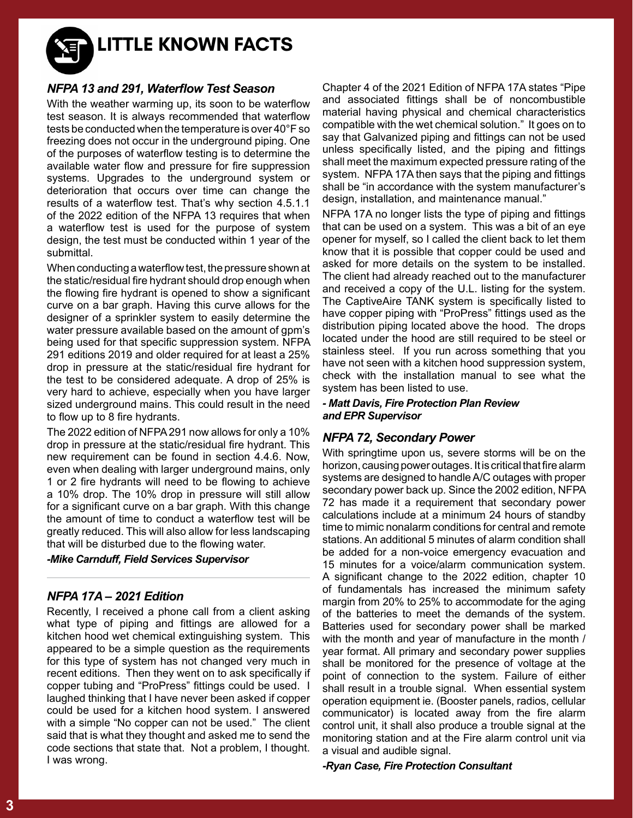**LITTLE KNOWN FACTS**

#### *NFPA 13 and 291, Waterflow Test Season*

With the weather warming up, its soon to be waterflow test season. It is always recommended that waterflow tests be conducted when the temperature is over 40°F so freezing does not occur in the underground piping. One of the purposes of waterflow testing is to determine the available water flow and pressure for fire suppression systems. Upgrades to the underground system or deterioration that occurs over time can change the results of a waterflow test. That's why section 4.5.1.1 of the 2022 edition of the NFPA 13 requires that when a waterflow test is used for the purpose of system design, the test must be conducted within 1 year of the submittal.

When conducting a waterflow test, the pressure shown at the static/residual fire hydrant should drop enough when the flowing fire hydrant is opened to show a significant curve on a bar graph. Having this curve allows for the designer of a sprinkler system to easily determine the water pressure available based on the amount of gpm's being used for that specific suppression system. NFPA 291 editions 2019 and older required for at least a 25% drop in pressure at the static/residual fire hydrant for the test to be considered adequate. A drop of 25% is very hard to achieve, especially when you have larger sized underground mains. This could result in the need to flow up to 8 fire hydrants.

The 2022 edition of NFPA 291 now allows for only a 10% drop in pressure at the static/residual fire hydrant. This new requirement can be found in section 4.4.6. Now, even when dealing with larger underground mains, only 1 or 2 fire hydrants will need to be flowing to achieve a 10% drop. The 10% drop in pressure will still allow for a significant curve on a bar graph. With this change the amount of time to conduct a waterflow test will be greatly reduced. This will also allow for less landscaping that will be disturbed due to the flowing water.

*-Mike Carnduff, Field Services Supervisor*

#### *NFPA 17A – 2021 Edition*

Recently, I received a phone call from a client asking what type of piping and fittings are allowed for a kitchen hood wet chemical extinguishing system. This appeared to be a simple question as the requirements for this type of system has not changed very much in recent editions. Then they went on to ask specifically if copper tubing and "ProPress" fittings could be used. I laughed thinking that I have never been asked if copper could be used for a kitchen hood system. I answered with a simple "No copper can not be used." The client said that is what they thought and asked me to send the code sections that state that. Not a problem, I thought. I was wrong.

Chapter 4 of the 2021 Edition of NFPA 17A states "Pipe and associated fittings shall be of noncombustible material having physical and chemical characteristics compatible with the wet chemical solution." It goes on to say that Galvanized piping and fittings can not be used unless specifically listed, and the piping and fittings shall meet the maximum expected pressure rating of the system. NFPA 17A then says that the piping and fittings shall be "in accordance with the system manufacturer's design, installation, and maintenance manual."

NFPA 17A no longer lists the type of piping and fittings that can be used on a system. This was a bit of an eye opener for myself, so I called the client back to let them know that it is possible that copper could be used and asked for more details on the system to be installed. The client had already reached out to the manufacturer and received a copy of the U.L. listing for the system. The CaptiveAire TANK system is specifically listed to have copper piping with "ProPress" fittings used as the distribution piping located above the hood. The drops located under the hood are still required to be steel or stainless steel. If you run across something that you have not seen with a kitchen hood suppression system, check with the installation manual to see what the system has been listed to use.

#### *- Matt Davis, Fire Protection Plan Review and EPR Supervisor*

#### *NFPA 72, Secondary Power*

With springtime upon us, severe storms will be on the horizon, causing power outages. It is critical that fire alarm systems are designed to handle A/C outages with proper secondary power back up. Since the 2002 edition, NFPA 72 has made it a requirement that secondary power calculations include at a minimum 24 hours of standby time to mimic nonalarm conditions for central and remote stations. An additional 5 minutes of alarm condition shall be added for a non-voice emergency evacuation and 15 minutes for a voice/alarm communication system. A significant change to the 2022 edition, chapter 10 of fundamentals has increased the minimum safety margin from 20% to 25% to accommodate for the aging of the batteries to meet the demands of the system. Batteries used for secondary power shall be marked with the month and year of manufacture in the month / year format. All primary and secondary power supplies shall be monitored for the presence of voltage at the point of connection to the system. Failure of either shall result in a trouble signal. When essential system operation equipment ie. (Booster panels, radios, cellular communicator) is located away from the fire alarm control unit, it shall also produce a trouble signal at the monitoring station and at the Fire alarm control unit via a visual and audible signal.

*-Ryan Case, Fire Protection Consultant*